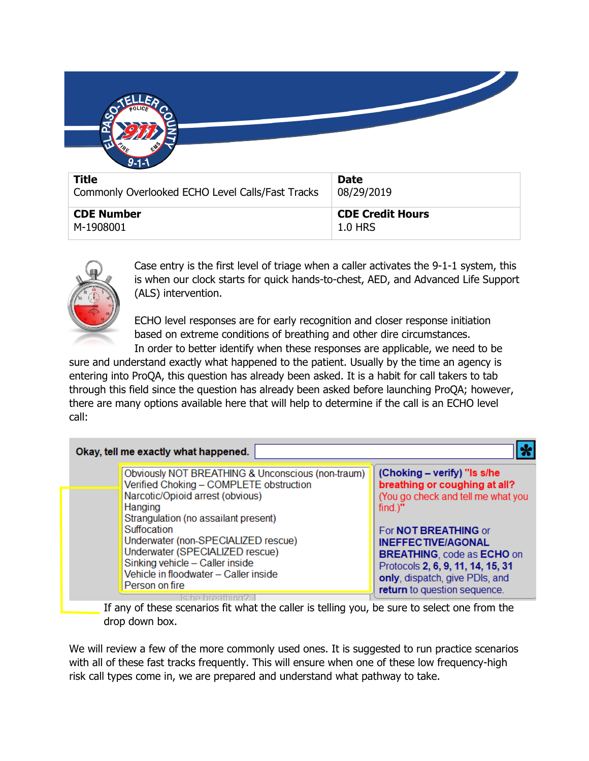

| Commonly Overlooked ECHO Level Calls/Fast Tracks | 08/29/2019              |
|--------------------------------------------------|-------------------------|
| <b>CDE Number</b>                                | <b>CDE Credit Hours</b> |
| M-1908001                                        | $\perp$ 1.0 HRS $\perp$ |



Case entry is the first level of triage when a caller activates the 9-1-1 system, this is when our clock starts for quick hands-to-chest, AED, and Advanced Life Support (ALS) intervention.

ECHO level responses are for early recognition and closer response initiation based on extreme conditions of breathing and other dire circumstances.

In order to better identify when these responses are applicable, we need to be sure and understand exactly what happened to the patient. Usually by the time an agency is entering into ProQA, this question has already been asked. It is a habit for call takers to tab through this field since the question has already been asked before launching ProQA; however, there are many options available here that will help to determine if the call is an ECHO level call:

|                        | Okay, tell me exactly what happened.                                                                                                                                                                                                                                                                                           |                                                                                                                                                                                                                                                                                  |
|------------------------|--------------------------------------------------------------------------------------------------------------------------------------------------------------------------------------------------------------------------------------------------------------------------------------------------------------------------------|----------------------------------------------------------------------------------------------------------------------------------------------------------------------------------------------------------------------------------------------------------------------------------|
| Hanging<br>Suffocation | Obviously NOT BREATHING & Unconscious (non-traum)<br>Verified Choking - COMPLETE obstruction<br>Narcotic/Opioid arrest (obvious)<br>Strangulation (no assailant present)<br>Underwater (non-SPECIALIZED rescue)<br>Underwater (SPECIALIZED rescue)<br>Sinking vehicle - Caller inside<br>Vehicle in floodwater - Caller inside | (Choking - verify) "Is s/he<br>breathing or coughing at all?<br>(You go check and tell me what you<br>$find.$ "<br>For NOT BREATHING or<br><b>INEFFECTIVE/AGONAL</b><br><b>BREATHING, code as ECHO on</b><br>Protocols 2, 6, 9, 11, 14, 15, 31<br>only, dispatch, give PDIs, and |
|                        | Person on fire                                                                                                                                                                                                                                                                                                                 | return to question sequence.<br>$\mathbf{r}$ , $\mathbf{r}$ , $\mathbf{r}$ , $\mathbf{r}$ , $\mathbf{r}$                                                                                                                                                                         |

If any of these scenarios fit what the caller is telling you, be sure to select one from the drop down box.

We will review a few of the more commonly used ones. It is suggested to run practice scenarios with all of these fast tracks frequently. This will ensure when one of these low frequency-high risk call types come in, we are prepared and understand what pathway to take.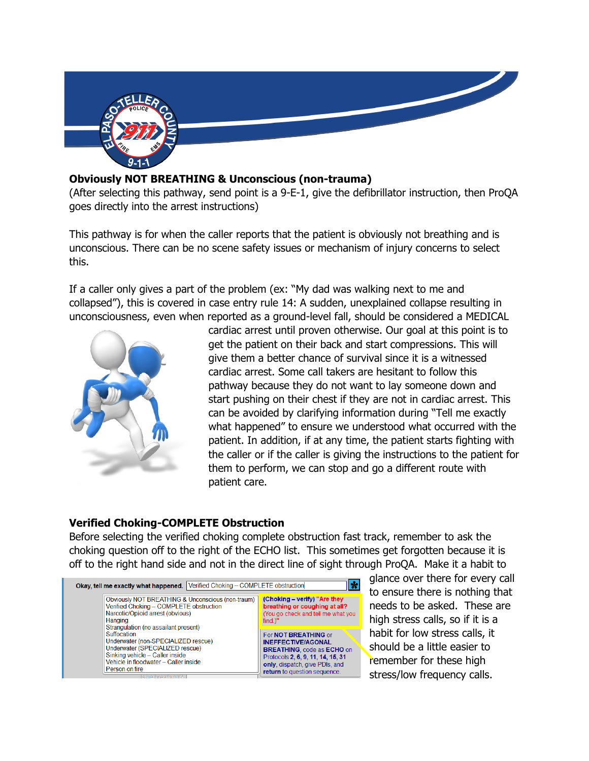

## **Obviously NOT BREATHING & Unconscious (non-trauma)**

(After selecting this pathway, send point is a 9-E-1, give the defibrillator instruction, then ProQA goes directly into the arrest instructions)

This pathway is for when the caller reports that the patient is obviously not breathing and is unconscious. There can be no scene safety issues or mechanism of injury concerns to select this.

If a caller only gives a part of the problem (ex: "My dad was walking next to me and collapsed"), this is covered in case entry rule 14: A sudden, unexplained collapse resulting in unconsciousness, even when reported as a ground-level fall, should be considered a MEDICAL



cardiac arrest until proven otherwise. Our goal at this point is to get the patient on their back and start compressions. This will give them a better chance of survival since it is a witnessed cardiac arrest. Some call takers are hesitant to follow this pathway because they do not want to lay someone down and start pushing on their chest if they are not in cardiac arrest. This can be avoided by clarifying information during "Tell me exactly what happened" to ensure we understood what occurred with the patient. In addition, if at any time, the patient starts fighting with the caller or if the caller is giving the instructions to the patient for them to perform, we can stop and go a different route with patient care.

## **Verified Choking-COMPLETE Obstruction**

Before selecting the verified choking complete obstruction fast track, remember to ask the choking question off to the right of the ECHO list. This sometimes get forgotten because it is off to the right hand side and not in the direct line of sight through ProQA. Make it a habit to

| Verified Choking - COMPLETE obstruction<br>Okay, tell me exactly what happened.                                                                                                                                                                                                                                                                                            |                                                                                                                                                                                                      |  |
|----------------------------------------------------------------------------------------------------------------------------------------------------------------------------------------------------------------------------------------------------------------------------------------------------------------------------------------------------------------------------|------------------------------------------------------------------------------------------------------------------------------------------------------------------------------------------------------|--|
| Obviously NOT BREATHING & Unconscious (non-traum)<br>Verified Choking - COMPLETE obstruction<br>Narcotic/Opioid arrest (obvious)<br>Hanging<br>Strangulation (no assailant present)<br>Suffocation<br>Underwater (non-SPECIALIZED rescue)<br>Underwater (SPECIALIZED rescue)<br>Sinking vehicle - Caller inside<br>Vehicle in floodwater - Caller inside<br>Person on fire | (Choking - verify) "Are they<br>breathing or coughing at all?<br>(You go check and tell me what you<br>$find.$ "                                                                                     |  |
|                                                                                                                                                                                                                                                                                                                                                                            | For <b>NOT BREATHING</b> or<br><b>INEFFECTIVE/AGONAL</b><br><b>BREATHING, code as ECHO on</b><br>Protocols 2, 6, 9, 11, 14, 15, 31<br>only, dispatch, give PDIs, and<br>return to question sequence. |  |

glance over there for every call to ensure there is nothing that needs to be asked. These are high stress calls, so if it is a habit for low stress calls, it should be a little easier to remember for these high stress/low frequency calls.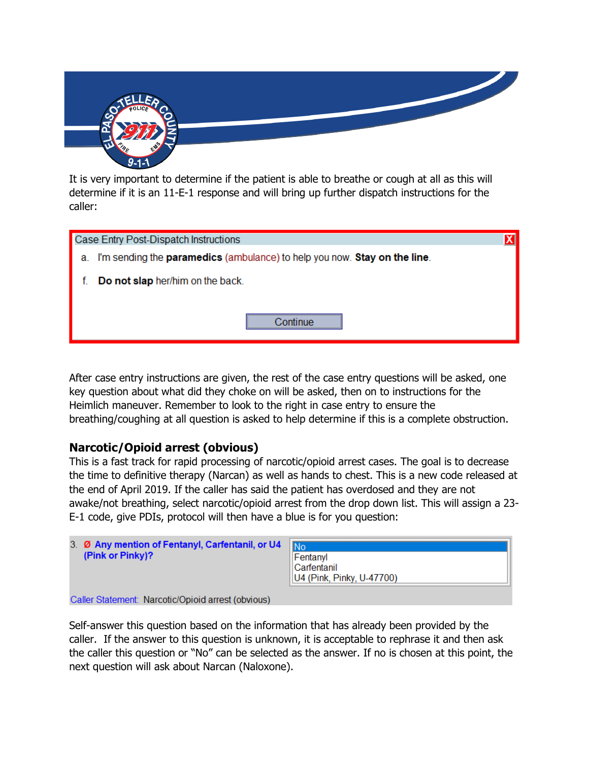

It is very important to determine if the patient is able to breathe or cough at all as this will determine if it is an 11-E-1 response and will bring up further dispatch instructions for the caller:

| Case Entry Post-Dispatch Instructions                                           |  |
|---------------------------------------------------------------------------------|--|
| I'm sending the paramedics (ambulance) to help you now. Stay on the line.<br>a. |  |
| Do not slap her/him on the back.                                                |  |
|                                                                                 |  |

After case entry instructions are given, the rest of the case entry questions will be asked, one key question about what did they choke on will be asked, then on to instructions for the Heimlich maneuver. Remember to look to the right in case entry to ensure the breathing/coughing at all question is asked to help determine if this is a complete obstruction.

# **Narcotic/Opioid arrest (obvious)**

This is a fast track for rapid processing of narcotic/opioid arrest cases. The goal is to decrease the time to definitive therapy (Narcan) as well as hands to chest. This is a new code released at the end of April 2019. If the caller has said the patient has overdosed and they are not awake/not breathing, select narcotic/opioid arrest from the drop down list. This will assign a 23- E-1 code, give PDIs, protocol will then have a blue is for you question:

| 3. Ø Any mention of Fentanyl, Carfentanil, or U4 | INo                       |
|--------------------------------------------------|---------------------------|
| (Pink or Pinky)?                                 | Fentanyl                  |
|                                                  | <b>Carfentanil</b>        |
|                                                  | U4 (Pink, Pinky, U-47700) |
| .<br>.                                           |                           |

Caller Statement: Narcotic/Opioid arrest (obvious)

Self-answer this question based on the information that has already been provided by the caller. If the answer to this question is unknown, it is acceptable to rephrase it and then ask the caller this question or "No" can be selected as the answer. If no is chosen at this point, the next question will ask about Narcan (Naloxone).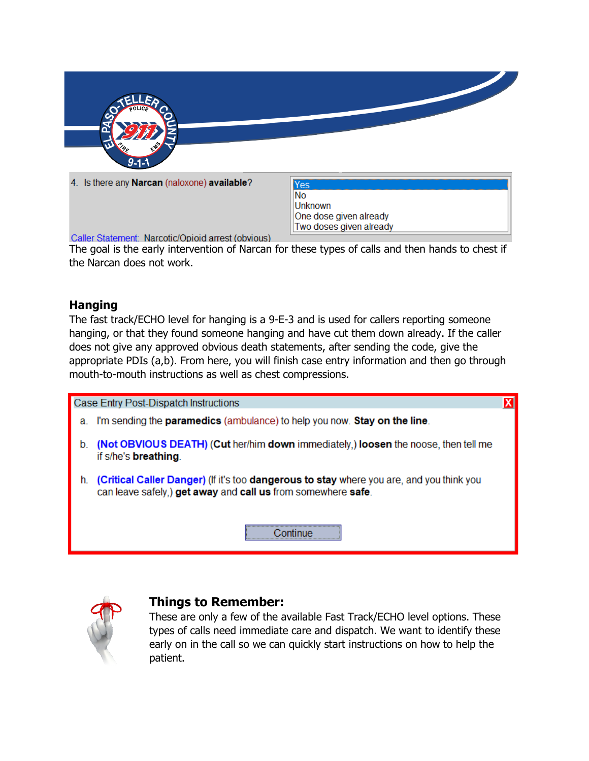

4. Is there any Narcan (naloxone) available?

**Yes** No **Unknown** One dose given already Two doses given already

Caller Statement: Narcotic/Opioid arrest (obvious)

The goal is the early intervention of Narcan for these types of calls and then hands to chest if the Narcan does not work.

## **Hanging**

The fast track/ECHO level for hanging is a 9-E-3 and is used for callers reporting someone hanging, or that they found someone hanging and have cut them down already. If the caller does not give any approved obvious death statements, after sending the code, give the appropriate PDIs (a,b). From here, you will finish case entry information and then go through mouth-to-mouth instructions as well as chest compressions.

Case Entry Post-Dispatch Instructions

- a. I'm sending the **paramedics** (ambulance) to help you now. Stay on the line.
- b. (Not OBVIOUS DEATH) (Cut her/him down immediately,) loosen the noose, then tell me if s/he's **breathing**.
- h. (Critical Caller Danger) (If it's too dangerous to stay where you are, and you think you can leave safely.) get away and call us from somewhere safe.





## **Things to Remember:**

These are only a few of the available Fast Track/ECHO level options. These types of calls need immediate care and dispatch. We want to identify these early on in the call so we can quickly start instructions on how to help the patient.